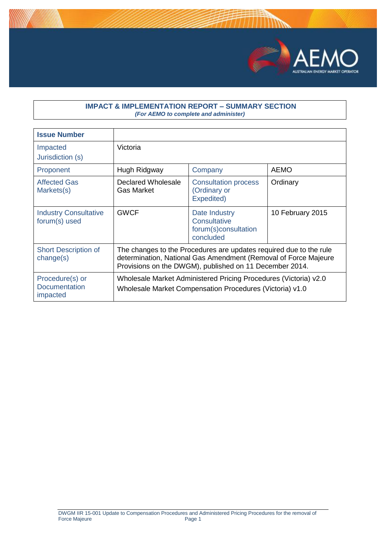

## **IMPACT & IMPLEMENTATION REPORT – SUMMARY SECTION** *(For AEMO to complete and administer)*

| <b>Issue Number</b>                                 |                                                                                                                                                                                                  |                                                                                                                              |                  |
|-----------------------------------------------------|--------------------------------------------------------------------------------------------------------------------------------------------------------------------------------------------------|------------------------------------------------------------------------------------------------------------------------------|------------------|
| Impacted<br>Jurisdiction (s)                        | Victoria                                                                                                                                                                                         |                                                                                                                              |                  |
| Proponent                                           | Hugh Ridgway                                                                                                                                                                                     | Company                                                                                                                      | <b>AEMO</b>      |
| <b>Affected Gas</b><br>Markets(s)                   | Declared Wholesale<br><b>Gas Market</b>                                                                                                                                                          | <b>Consultation process</b><br>(Ordinary or<br>Expedited)                                                                    | Ordinary         |
| <b>Industry Consultative</b><br>forum(s) used       | <b>GWCF</b>                                                                                                                                                                                      | Date Industry<br><b>Consultative</b><br>forum(s)consultation<br>concluded                                                    | 10 February 2015 |
| <b>Short Description of</b><br>change(s)            | The changes to the Procedures are updates required due to the rule<br>determination, National Gas Amendment (Removal of Force Majeure<br>Provisions on the DWGM), published on 11 December 2014. |                                                                                                                              |                  |
| Procedure(s) or<br><b>Documentation</b><br>impacted |                                                                                                                                                                                                  | Wholesale Market Administered Pricing Procedures (Victoria) v2.0<br>Wholesale Market Compensation Procedures (Victoria) v1.0 |                  |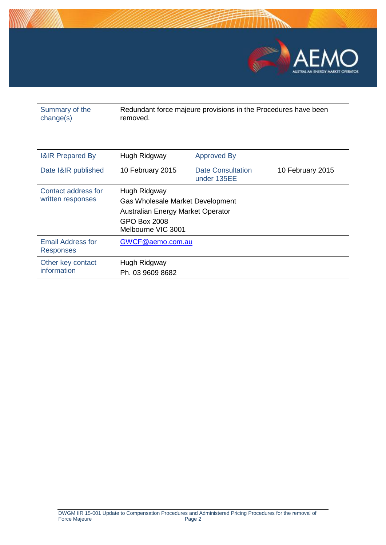

| Summary of the<br>change(s)                  | removed.                                                                                                                    | Redundant force majeure provisions in the Procedures have been |                  |
|----------------------------------------------|-----------------------------------------------------------------------------------------------------------------------------|----------------------------------------------------------------|------------------|
| <b>I&amp;IR Prepared By</b>                  | Hugh Ridgway                                                                                                                | <b>Approved By</b>                                             |                  |
| Date I&IR published                          | 10 February 2015                                                                                                            | <b>Date Consultation</b><br>under 135EE                        | 10 February 2015 |
| Contact address for<br>written responses     | Hugh Ridgway<br>Gas Wholesale Market Development<br>Australian Energy Market Operator<br>GPO Box 2008<br>Melbourne VIC 3001 |                                                                |                  |
| <b>Email Address for</b><br><b>Responses</b> | GWCF@aemo.com.au                                                                                                            |                                                                |                  |
| Other key contact<br>information             | Hugh Ridgway<br>Ph. 03 9609 8682                                                                                            |                                                                |                  |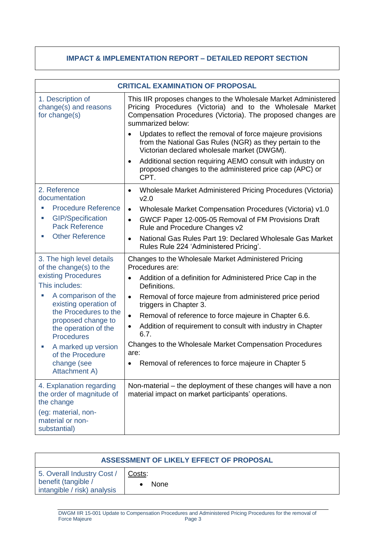## **IMPACT & IMPLEMENTATION REPORT – DETAILED REPORT SECTION**

| <b>CRITICAL EXAMINATION OF PROPOSAL</b>                             |                                                                                                                                                                                                                  |
|---------------------------------------------------------------------|------------------------------------------------------------------------------------------------------------------------------------------------------------------------------------------------------------------|
| 1. Description of<br>change(s) and reasons<br>for change(s)         | This IIR proposes changes to the Wholesale Market Administered<br>Pricing Procedures (Victoria) and to the Wholesale Market<br>Compensation Procedures (Victoria). The proposed changes are<br>summarized below: |
|                                                                     | Updates to reflect the removal of force majeure provisions<br>from the National Gas Rules (NGR) as they pertain to the<br>Victorian declared wholesale market (DWGM).                                            |
|                                                                     | Additional section requiring AEMO consult with industry on<br>$\bullet$<br>proposed changes to the administered price cap (APC) or<br>CPT.                                                                       |
| 2. Reference<br>documentation                                       | Wholesale Market Administered Pricing Procedures (Victoria)<br>$\bullet$<br>V <sub>2.0</sub>                                                                                                                     |
| <b>Procedure Reference</b>                                          | Wholesale Market Compensation Procedures (Victoria) v1.0<br>$\bullet$                                                                                                                                            |
| <b>GIP/Specification</b><br><b>Pack Reference</b>                   | GWCF Paper 12-005-05 Removal of FM Provisions Draft<br>$\bullet$<br>Rule and Procedure Changes v2                                                                                                                |
| <b>Other Reference</b>                                              | National Gas Rules Part 19: Declared Wholesale Gas Market<br>$\bullet$<br>Rules Rule 224 'Administered Pricing'.                                                                                                 |
| 3. The high level details<br>of the change(s) to the                | Changes to the Wholesale Market Administered Pricing<br>Procedures are:                                                                                                                                          |
| existing Procedures<br>This includes:                               | Addition of a definition for Administered Price Cap in the<br>$\bullet$<br>Definitions.                                                                                                                          |
| A comparison of the<br>existing operation of                        | Removal of force majeure from administered price period<br>$\bullet$<br>triggers in Chapter 3.                                                                                                                   |
| the Procedures to the<br>proposed change to                         | Removal of reference to force majeure in Chapter 6.6.<br>$\bullet$                                                                                                                                               |
| the operation of the<br><b>Procedures</b>                           | Addition of requirement to consult with industry in Chapter<br>٠<br>6.7.                                                                                                                                         |
| A marked up version<br>ш<br>of the Procedure                        | Changes to the Wholesale Market Compensation Procedures<br>are:                                                                                                                                                  |
| change (see<br><b>Attachment A)</b>                                 | Removal of references to force majeure in Chapter 5                                                                                                                                                              |
| 4. Explanation regarding<br>the order of magnitude of<br>the change | Non-material – the deployment of these changes will have a non<br>material impact on market participants' operations.                                                                                            |
| (eg: material, non-<br>material or non-<br>substantial)             |                                                                                                                                                                                                                  |

| ASSESSMENT OF LIKELY EFFECT OF PROPOSAL                                          |                       |
|----------------------------------------------------------------------------------|-----------------------|
| 5. Overall Industry Cost /<br>benefit (tangible /<br>intangible / risk) analysis | Costs:<br><b>None</b> |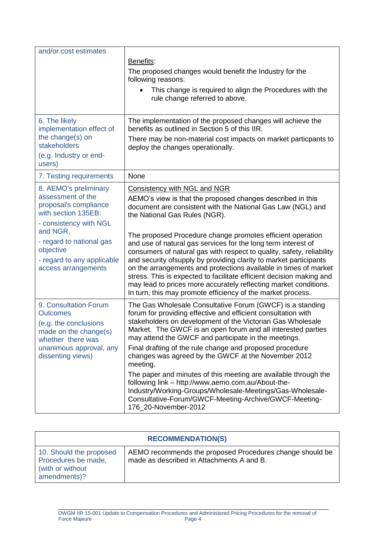| and/or cost estimates                                               |                                                                                                                                                                                                                                                                                                                                                   |
|---------------------------------------------------------------------|---------------------------------------------------------------------------------------------------------------------------------------------------------------------------------------------------------------------------------------------------------------------------------------------------------------------------------------------------|
|                                                                     | Benefits:                                                                                                                                                                                                                                                                                                                                         |
|                                                                     | The proposed changes would benefit the Industry for the<br>following reasons:                                                                                                                                                                                                                                                                     |
|                                                                     | This change is required to align the Procedures with the<br>rule change referred to above.                                                                                                                                                                                                                                                        |
| 6. The likely<br>implementation effect of                           | The implementation of the proposed changes will achieve the<br>benefits as outlined in Section 5 of this IIR.                                                                                                                                                                                                                                     |
| the change(s) on<br>stakeholders                                    | There may be non-material cost impacts on market particpants to<br>deploy the changes operationally.                                                                                                                                                                                                                                              |
| (e.g. Industry or end-<br>users)                                    |                                                                                                                                                                                                                                                                                                                                                   |
| 7. Testing requirements                                             | None                                                                                                                                                                                                                                                                                                                                              |
| 8. AEMO's preliminary                                               | <b>Consistency with NGL and NGR</b>                                                                                                                                                                                                                                                                                                               |
| assessment of the<br>proposal's compliance<br>with section 135EB:   | AEMO's view is that the proposed changes described in this<br>document are consistent with the National Gas Law (NGL) and<br>the National Gas Rules (NGR).                                                                                                                                                                                        |
| - consistency with NGL                                              |                                                                                                                                                                                                                                                                                                                                                   |
| and NGR,<br>- regard to national gas<br>objective                   | The proposed Procedure change promotes efficient operation<br>and use of natural gas services for the long term interest of<br>consumers of natural gas with respect to quality, safety, reliability                                                                                                                                              |
| - regard to any applicable<br>access arrangements                   | and security of supply by providing clarity to market participants<br>on the arrangements and protections available in times of market<br>stress. This is expected to facilitate efficient decision making and<br>may lead to prices more accurately reflecting market conditions.<br>In turn, this may promote efficiency of the market process. |
| 9. Consultation Forum<br><b>Outcomes</b>                            | The Gas Wholesale Consultative Forum (GWCF) is a standing<br>forum for providing effective and efficient consultation with                                                                                                                                                                                                                        |
| (e.g. the conclusions<br>made on the change(s)<br>whether there was | stakeholders on development of the Victorian Gas Wholesale<br>Market. The GWCF is an open forum and all interested parties<br>may attend the GWCF and participate in the meetings.                                                                                                                                                                |
| unanimous approval, any<br>dissenting views)                        | Final drafting of the rule change and proposed procedure<br>changes was agreed by the GWCF at the November 2012<br>meeting.                                                                                                                                                                                                                       |
|                                                                     | The paper and minutes of this meeting are available through the<br>following link - http://www.aemo.com.au/About-the-<br>Industry/Working-Groups/Wholesale-Meetings/Gas-Wholesale-<br>Consultative-Forum/GWCF-Meeting-Archive/GWCF-Meeting-<br>176_20-November-2012                                                                               |

| <b>RECOMMENDATION(S)</b>                                                            |                                                                                                       |
|-------------------------------------------------------------------------------------|-------------------------------------------------------------------------------------------------------|
| 10. Should the proposed<br>Procedures be made,<br>(with or without)<br>amendments)? | AEMO recommends the proposed Procedures change should be<br>made as described in Attachments A and B. |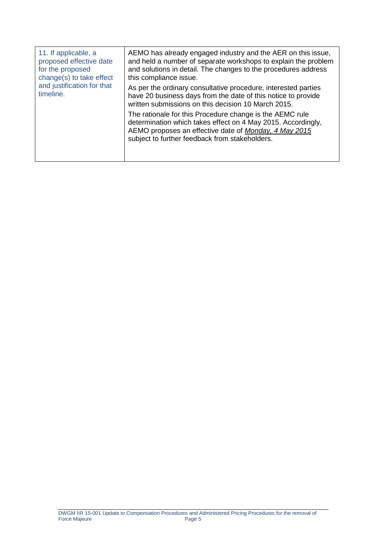| 11. If applicable, a<br>proposed effective date<br>for the proposed<br>change(s) to take effect<br>and justification for that<br>timeline. | AEMO has already engaged industry and the AER on this issue,<br>and held a number of separate workshops to explain the problem<br>and solutions in detail. The changes to the procedures address<br>this compliance issue.          |
|--------------------------------------------------------------------------------------------------------------------------------------------|-------------------------------------------------------------------------------------------------------------------------------------------------------------------------------------------------------------------------------------|
|                                                                                                                                            | As per the ordinary consultative procedure, interested parties<br>have 20 business days from the date of this notice to provide<br>written submissions on this decision 10 March 2015.                                              |
|                                                                                                                                            | The rationale for this Procedure change is the AEMC rule<br>determination which takes effect on 4 May 2015. Accordingly,<br>AEMO proposes an effective date of Monday, 4 May 2015<br>subject to further feedback from stakeholders. |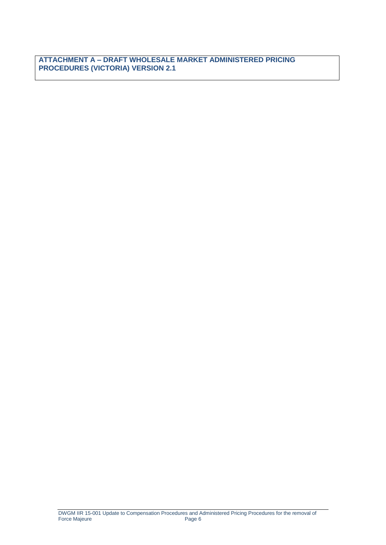**ATTACHMENT A – DRAFT WHOLESALE MARKET ADMINISTERED PRICING PROCEDURES (VICTORIA) VERSION 2.1**